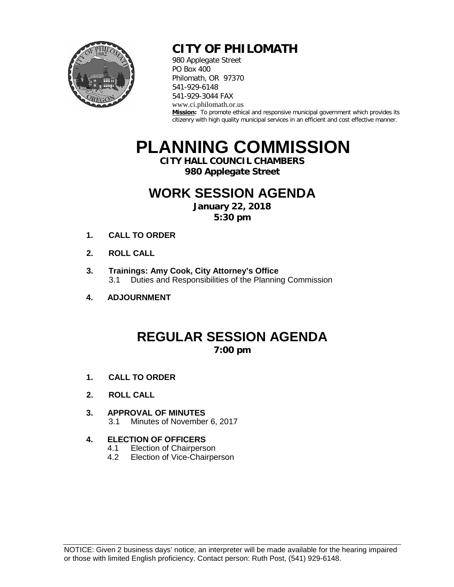

### **CITY OF PHILOMATH**

980 Applegate Street PO Box 400 Philomath, OR 97370 541-929-6148 541-929-3044 FAX www.ci.philomath.or.us **Mission:** To promote ethical and responsive municipal government which provides its citizenry with high quality municipal services in an efficient and cost effective manner.

# **PLANNING COMMISSION**

**CITY HALL COUNCIL CHAMBERS**

**980 Applegate Street**

### **WORK SESSION AGENDA**

**January 22, 2018 5:30 pm**

- **1. CALL TO ORDER**
- **2. ROLL CALL**
- **3. Trainings: Amy Cook, City Attorney's Office** 3.1 Duties and Responsibilities of the Planning Commission
- **4. ADJOURNMENT**

# **REGULAR SESSION AGENDA**

**7:00 pm**

- **1. CALL TO ORDER**
- **2. ROLL CALL**
- **3. APPROVAL OF MINUTES** 3.1 Minutes of November 6, 2017
- **4. ELECTION OF OFFICERS**
	- 4.1 Election of Chairperson<br>4.2 Election of Vice-Chairpe
	- Election of Vice-Chairperson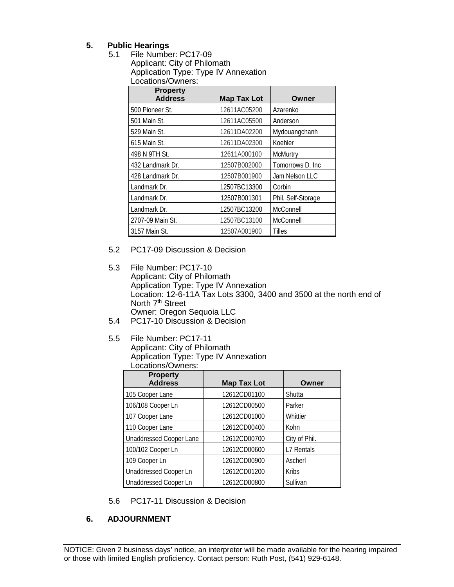#### **5. Public Hearings**

5.1 File Number: PC17-09 Applicant: City of Philomath Application Type: Type IV Annexation Locations/Owners:

| <b>Property</b>  |                    |                    |
|------------------|--------------------|--------------------|
| <b>Address</b>   | <b>Map Tax Lot</b> | Owner              |
| 500 Pioneer St.  | 12611AC05200       | Azarenko           |
| 501 Main St.     | 12611AC05500       | Anderson           |
| 529 Main St.     | 12611DA02200       | Mydouangchanh      |
| 615 Main St.     | 12611DA02300       | Koehler            |
| 498 N 9TH St.    | 12611A000100       | <b>McMurtry</b>    |
| 432 Landmark Dr. | 12507B002000       | Tomorrows D. Inc   |
| 428 Landmark Dr. | 12507B001900       | Jam Nelson LLC     |
| Landmark Dr.     | 12507BC13300       | Corbin             |
| Landmark Dr.     | 12507B001301       | Phil. Self-Storage |
| Landmark Dr.     | 12507BC13200       | McConnell          |
| 2707-09 Main St. | 12507BC13100       | McConnell          |
| 3157 Main St.    | 12507A001900       | <b>Tilles</b>      |

- 5.2 PC17-09 Discussion & Decision
- 5.3 File Number: PC17-10 Applicant: City of Philomath Application Type: Type IV Annexation Location: 12-6-11A Tax Lots 3300, 3400 and 3500 at the north end of North 7<sup>th</sup> Street Owner: Oregon Sequoia LLC
- 5.4 PC17-10 Discussion & Decision
- 5.5 File Number: PC17-11 Applicant: City of Philomath Application Type: Type IV Annexation Locations/Owners:

| <b>Property</b><br><b>Address</b> | <b>Map Tax Lot</b> | Owner         |
|-----------------------------------|--------------------|---------------|
| 105 Cooper Lane                   | 12612CD01100       | Shutta        |
| 106/108 Cooper Ln                 | 12612CD00500       | Parker        |
| 107 Cooper Lane                   | 12612CD01000       | Whittier      |
| 110 Cooper Lane                   | 12612CD00400       | Kohn          |
| Unaddressed Cooper Lane           | 12612CD00700       | City of Phil. |
| 100/102 Cooper Ln                 | 12612CD00600       | L7 Rentals    |
| 109 Cooper Ln                     | 12612CD00900       | Ascherl       |
| <b>Unaddressed Cooper Ln</b>      | 12612CD01200       | <b>Kribs</b>  |
| <b>Unaddressed Cooper Ln</b>      | 12612CD00800       | Sullivan      |

5.6 PC17-11 Discussion & Decision

#### **6. ADJOURNMENT**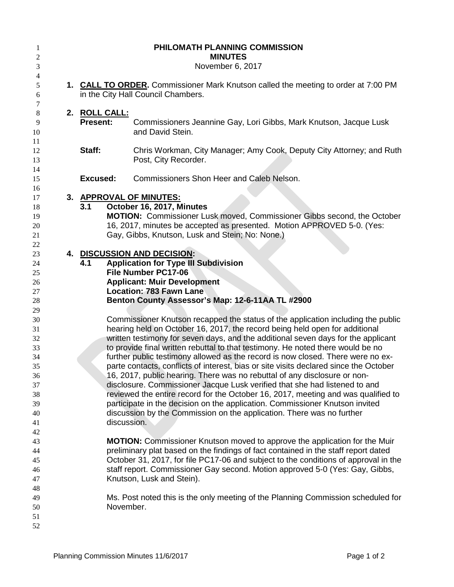| $\mathbf{1}$<br>2<br>3                                                     |                                  | PHILOMATH PLANNING COMMISSION<br><b>MINUTES</b><br>November 6, 2017                                                                                                                                                                                                                                                                                                                                                                                                                                                                                                                                                                                                                                                                                                                                                                                                                                                                         |
|----------------------------------------------------------------------------|----------------------------------|---------------------------------------------------------------------------------------------------------------------------------------------------------------------------------------------------------------------------------------------------------------------------------------------------------------------------------------------------------------------------------------------------------------------------------------------------------------------------------------------------------------------------------------------------------------------------------------------------------------------------------------------------------------------------------------------------------------------------------------------------------------------------------------------------------------------------------------------------------------------------------------------------------------------------------------------|
| 4<br>5<br>6                                                                |                                  | 1. CALL TO ORDER. Commissioner Mark Knutson called the meeting to order at 7:00 PM<br>in the City Hall Council Chambers.                                                                                                                                                                                                                                                                                                                                                                                                                                                                                                                                                                                                                                                                                                                                                                                                                    |
| 7<br>8<br>9<br>10<br>11                                                    | 2. ROLL CALL:<br><b>Present:</b> | Commissioners Jeannine Gay, Lori Gibbs, Mark Knutson, Jacque Lusk<br>and David Stein.                                                                                                                                                                                                                                                                                                                                                                                                                                                                                                                                                                                                                                                                                                                                                                                                                                                       |
| 12<br>13                                                                   | Staff:                           | Chris Workman, City Manager; Amy Cook, Deputy City Attorney; and Ruth<br>Post, City Recorder.                                                                                                                                                                                                                                                                                                                                                                                                                                                                                                                                                                                                                                                                                                                                                                                                                                               |
| 14<br>15<br>16                                                             | <b>Excused:</b>                  | Commissioners Shon Heer and Caleb Nelson.                                                                                                                                                                                                                                                                                                                                                                                                                                                                                                                                                                                                                                                                                                                                                                                                                                                                                                   |
| 17<br>18<br>19<br>20<br>21<br>22                                           | 3.1                              | 3. APPROVAL OF MINUTES:<br>October 16, 2017, Minutes<br><b>MOTION:</b> Commissioner Lusk moved, Commissioner Gibbs second, the October<br>16, 2017, minutes be accepted as presented. Motion APPROVED 5-0. (Yes:<br>Gay, Gibbs, Knutson, Lusk and Stein; No: None.)                                                                                                                                                                                                                                                                                                                                                                                                                                                                                                                                                                                                                                                                         |
| 23<br>24<br>25<br>26<br>27<br>28<br>29                                     | 4.1                              | 4. DISCUSSION AND DECISION:<br><b>Application for Type III Subdivision</b><br>File Number PC17-06<br><b>Applicant: Muir Development</b><br><b>Location: 783 Fawn Lane</b><br>Benton County Assessor's Map: 12-6-11AA TL #2900                                                                                                                                                                                                                                                                                                                                                                                                                                                                                                                                                                                                                                                                                                               |
| 30<br>31<br>32<br>33<br>34<br>35<br>36<br>37<br>38<br>39<br>40<br>41<br>42 |                                  | Commissioner Knutson recapped the status of the application including the public<br>hearing held on October 16, 2017, the record being held open for additional<br>written testimony for seven days, and the additional seven days for the applicant<br>to provide final written rebuttal to that testimony. He noted there would be no<br>further public testimony allowed as the record is now closed. There were no ex-<br>parte contacts, conflicts of interest, bias or site visits declared since the October<br>16, 2017, public hearing. There was no rebuttal of any disclosure or non-<br>disclosure. Commissioner Jacque Lusk verified that she had listened to and<br>reviewed the entire record for the October 16, 2017, meeting and was qualified to<br>participate in the decision on the application. Commissioner Knutson invited<br>discussion by the Commission on the application. There was no further<br>discussion. |
| 43<br>44<br>45<br>46<br>47<br>48                                           |                                  | <b>MOTION:</b> Commissioner Knutson moved to approve the application for the Muir<br>preliminary plat based on the findings of fact contained in the staff report dated<br>October 31, 2017, for file PC17-06 and subject to the conditions of approval in the<br>staff report. Commissioner Gay second. Motion approved 5-0 (Yes: Gay, Gibbs,<br>Knutson, Lusk and Stein).                                                                                                                                                                                                                                                                                                                                                                                                                                                                                                                                                                 |
| 49<br>50<br>51<br>52                                                       |                                  | Ms. Post noted this is the only meeting of the Planning Commission scheduled for<br>November.                                                                                                                                                                                                                                                                                                                                                                                                                                                                                                                                                                                                                                                                                                                                                                                                                                               |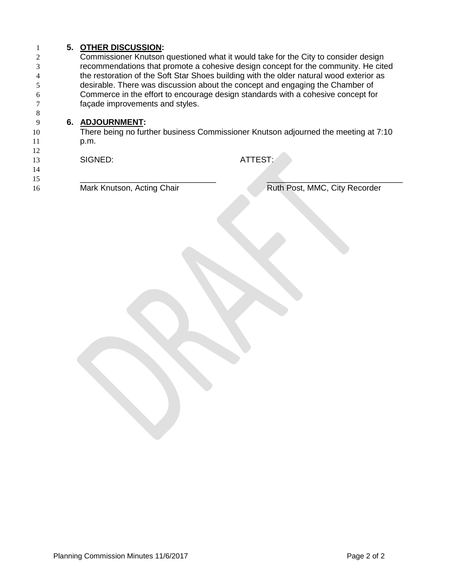# **5. OTHER DISCUSSION:**

 Commissioner Knutson questioned what it would take for the City to consider design recommendations that promote a cohesive design concept for the community. He cited the restoration of the Soft Star Shoes building with the older natural wood exterior as desirable. There was discussion about the concept and engaging the Chamber of Commerce in the effort to encourage design standards with a cohesive concept for façade improvements and styles.

#### **6. ADJOURNMENT:**

10 There being no further business Commissioner Knutson adjourned the meeting at 7:10 p.m.

| 14<br>13<br>14 | SIGNED:                    | ATTEST:                       |
|----------------|----------------------------|-------------------------------|
| 15<br>16       | Mark Knutson, Acting Chair | Ruth Post, MMC, City Recorder |
|                |                            |                               |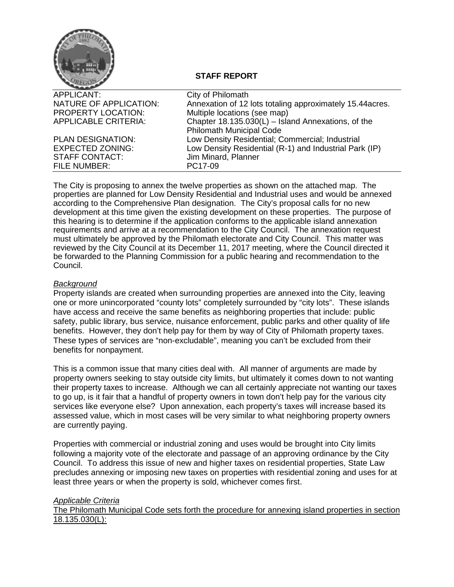

#### **STAFF REPORT**

| APPLICANT:                  | City of Philomath                                         |
|-----------------------------|-----------------------------------------------------------|
| NATURE OF APPLICATION:      | Annexation of 12 lots totaling approximately 15.44 acres. |
| PROPERTY LOCATION:          | Multiple locations (see map)                              |
| <b>APPLICABLE CRITERIA:</b> | Chapter 18.135.030(L) - Island Annexations, of the        |
|                             | <b>Philomath Municipal Code</b>                           |
| <b>PLAN DESIGNATION:</b>    | Low Density Residential; Commercial; Industrial           |
| <b>EXPECTED ZONING:</b>     | Low Density Residential (R-1) and Industrial Park (IP)    |
| <b>STAFF CONTACT:</b>       | Jim Minard, Planner                                       |
| FILE NUMBER:                | PC17-09                                                   |
|                             |                                                           |

The City is proposing to annex the twelve properties as shown on the attached map. The properties are planned for Low Density Residential and Industrial uses and would be annexed according to the Comprehensive Plan designation. The City's proposal calls for no new development at this time given the existing development on these properties. The purpose of this hearing is to determine if the application conforms to the applicable island annexation requirements and arrive at a recommendation to the City Council. The annexation request must ultimately be approved by the Philomath electorate and City Council. This matter was reviewed by the City Council at its December 11, 2017 meeting, where the Council directed it be forwarded to the Planning Commission for a public hearing and recommendation to the Council.

#### *Background*

Property islands are created when surrounding properties are annexed into the City, leaving one or more unincorporated "county lots" completely surrounded by "city lots". These islands have access and receive the same benefits as neighboring properties that include: public safety, public library, bus service, nuisance enforcement, public parks and other quality of life benefits. However, they don't help pay for them by way of City of Philomath property taxes. These types of services are "non-excludable", meaning you can't be excluded from their benefits for nonpayment.

This is a common issue that many cities deal with. All manner of arguments are made by property owners seeking to stay outside city limits, but ultimately it comes down to not wanting their property taxes to increase. Although we can all certainly appreciate not wanting our taxes to go up, is it fair that a handful of property owners in town don't help pay for the various city services like everyone else? Upon annexation, each property's taxes will increase based its assessed value, which in most cases will be very similar to what neighboring property owners are currently paying.

Properties with commercial or industrial zoning and uses would be brought into City limits following a majority vote of the electorate and passage of an approving ordinance by the City Council. To address this issue of new and higher taxes on residential properties, State Law precludes annexing or imposing new taxes on properties with residential zoning and uses for at least three years or when the property is sold, whichever comes first.

#### *Applicable Criteria*

The Philomath Municipal Code sets forth the procedure for annexing island properties in section 18.135.030(L):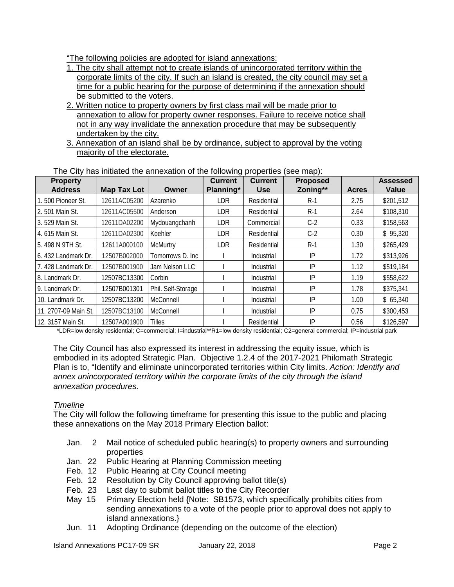"The following policies are adopted for island annexations:

- 1. The city shall attempt not to create islands of unincorporated territory within the corporate limits of the city. If such an island is created, the city council may set a time for a public hearing for the purpose of determining if the annexation should be submitted to the voters.
- 2. Written notice to property owners by first class mail will be made prior to annexation to allow for property owner responses. Failure to receive notice shall not in any way invalidate the annexation procedure that may be subsequently undertaken by the city.
- 3. Annexation of an island shall be by ordinance, subject to approval by the voting majority of the electorate.

| <b>Property</b><br><b>Address</b> | <b>Map Tax Lot</b> | Owner              | <b>Current</b><br>Planning* | <b>Current</b><br><b>Use</b> | <b>Proposed</b><br>Zoning** | <b>Acres</b> | <b>Assessed</b><br><b>Value</b> |
|-----------------------------------|--------------------|--------------------|-----------------------------|------------------------------|-----------------------------|--------------|---------------------------------|
| .500 Pioneer St.                  | 12611AC05200       | Azarenko           | <b>LDR</b>                  | Residential                  | $R-1$                       | 2.75         | \$201,512                       |
| 2.501 Main St.                    | 12611AC05500       | Anderson           | <b>LDR</b>                  | Residential                  | $R-1$                       | 2.64         | \$108,310                       |
| 3.529 Main St.                    | 12611DA02200       | Mydouangchanh      | <b>LDR</b>                  | Commercial                   | $C-2$                       | 0.33         | \$158,563                       |
| 4. 615 Main St.                   | 12611DA02300       | Koehler            | <b>LDR</b>                  | Residential                  | $C-2$                       | 0.30         | \$95,320                        |
| 5.498 N 9TH St.                   | 12611A000100       | <b>McMurtry</b>    | <b>LDR</b>                  | Residential                  | $R-1$                       | 1.30         | \$265,429                       |
| 6. 432 Landmark Dr.               | 12507B002000       | Tomorrows D. Inc.  |                             | Industrial                   | IP                          | 1.72         | \$313,926                       |
| 7.428 Landmark Dr.                | 12507B001900       | Jam Nelson LLC     |                             | Industrial                   | IP                          | 1.12         | \$519,184                       |
| 8. Landmark Dr.                   | 12507BC13300       | Corbin             |                             | Industrial                   | IP                          | 1.19         | \$558,622                       |
| 9. Landmark Dr.                   | 12507B001301       | Phil. Self-Storage |                             | Industrial                   | IP                          | 1.78         | \$375,341                       |
| 10. Landmark Dr.                  | 12507BC13200       | McConnell          |                             | Industrial                   | IP                          | 1.00         | \$65,340                        |
| 11. 2707-09 Main St.              | 12507BC13100       | McConnell          |                             | Industrial                   | IP                          | 0.75         | \$300,453                       |
| 12. 3157 Main St.                 | 12507A001900       | Tilles             |                             | Residential                  | IP                          | 0.56         | \$126,597                       |

The City has initiated the annexation of the following properties (see map):

\*LDR=low density residential; C=commercial; I=industrial\*\*R1=low density residential; C2=general commercial; IP=industrial park

The City Council has also expressed its interest in addressing the equity issue, which is embodied in its adopted Strategic Plan. Objective 1.2.4 of the 2017-2021 Philomath Strategic Plan is to, "Identify and eliminate unincorporated territories within City limits. *Action: Identify and annex unincorporated territory within the corporate limits of the city through the island annexation procedures.*

#### *Timeline*

The City will follow the following timeframe for presenting this issue to the public and placing these annexations on the May 2018 Primary Election ballot:

- Jan. 2 Mail notice of scheduled public hearing(s) to property owners and surrounding properties
- Jan. 22 Public Hearing at Planning Commission meeting<br>Feb. 12 Public Hearing at City Council meeting
- Public Hearing at City Council meeting
- Feb. 12 Resolution by City Council approving ballot title(s)
- Feb. 23 Last day to submit ballot titles to the City Recorder
- May 15 Primary Election held {Note: SB1573, which specifically prohibits cities from sending annexations to a vote of the people prior to approval does not apply to island annexations.}
- Jun. 11 Adopting Ordinance (depending on the outcome of the election)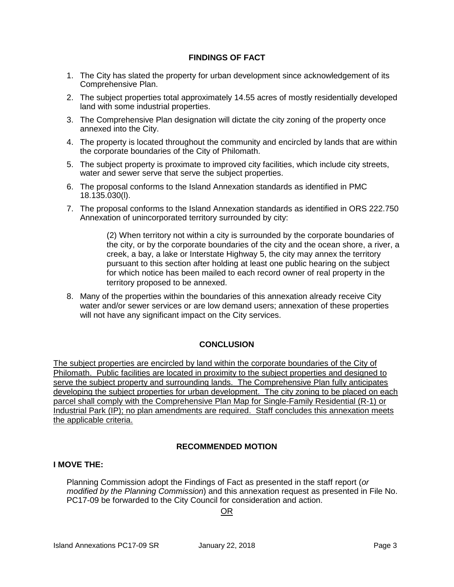#### **FINDINGS OF FACT**

- 1. The City has slated the property for urban development since acknowledgement of its Comprehensive Plan.
- 2. The subject properties total approximately 14.55 acres of mostly residentially developed land with some industrial properties.
- 3. The Comprehensive Plan designation will dictate the city zoning of the property once annexed into the City.
- 4. The property is located throughout the community and encircled by lands that are within the corporate boundaries of the City of Philomath.
- 5. The subject property is proximate to improved city facilities, which include city streets, water and sewer serve that serve the subject properties.
- 6. The proposal conforms to the Island Annexation standards as identified in PMC 18.135.030(l).
- 7. The proposal conforms to the Island Annexation standards as identified in ORS 222.750 Annexation of unincorporated territory surrounded by city:

(2) When territory not within a city is surrounded by the corporate boundaries of the city, or by the corporate boundaries of the city and the ocean shore, a river, a creek, a bay, a lake or Interstate Highway 5, the city may annex the territory pursuant to this section after holding at least one public hearing on the subject for which notice has been mailed to each record owner of real property in the territory proposed to be annexed.

8. Many of the properties within the boundaries of this annexation already receive City water and/or sewer services or are low demand users; annexation of these properties will not have any significant impact on the City services.

#### **CONCLUSION**

The subject properties are encircled by land within the corporate boundaries of the City of Philomath. Public facilities are located in proximity to the subject properties and designed to serve the subject property and surrounding lands. The Comprehensive Plan fully anticipates developing the subject properties for urban development. The city zoning to be placed on each parcel shall comply with the Comprehensive Plan Map for Single-Family Residential (R-1) or Industrial Park (IP); no plan amendments are required. Staff concludes this annexation meets the applicable criteria.

#### **RECOMMENDED MOTION**

#### **I MOVE THE:**

Planning Commission adopt the Findings of Fact as presented in the staff report (*or modified by the Planning Commission*) and this annexation request as presented in File No. PC17-09 be forwarded to the City Council for consideration and action.

#### OR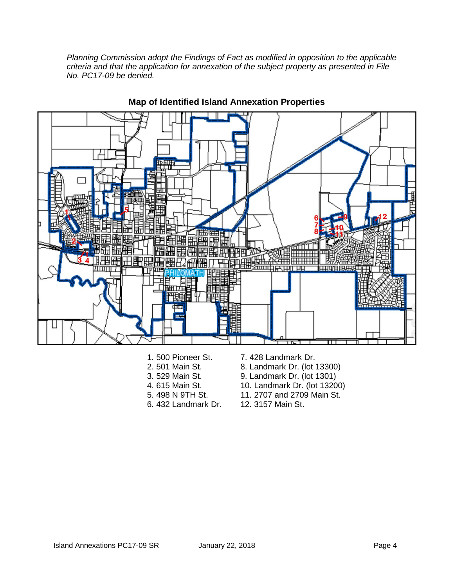*Planning Commission adopt the Findings of Fact as modified in opposition to the applicable criteria and that the application for annexation of the subject property as presented in File No. PC17-09 be denied.* 



#### **Map of Identified Island Annexation Properties**

- 1. 500 Pioneer St.
- 2. 501 Main St.
- 3. 529 Main St.
- 4. 615 Main St.
- 5. 498 N 9TH St.
- 6. 432 Landmark Dr.
- 7. 428 Landmark Dr.
- 8. Landmark Dr. (lot 13300)
- 9. Landmark Dr. (lot 1301)
- 10. Landmark Dr. (lot 13200)
- 11. 2707 and 2709 Main St.
- 12. 3157 Main St.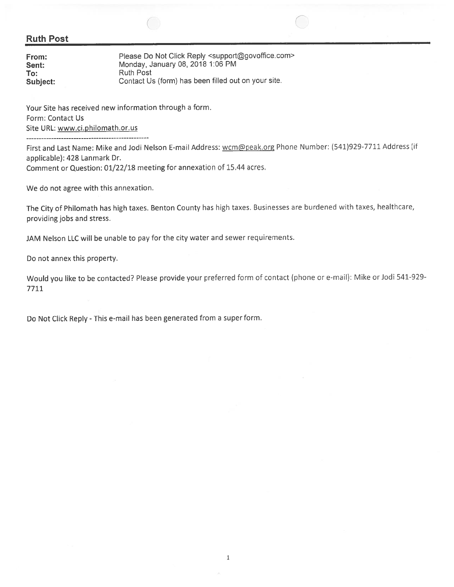#### **Ruth Post**

| From:    | Please Do Not Click Reply <support@govoffice.com></support@govoffice.com> |
|----------|---------------------------------------------------------------------------|
| Sent:    | Monday, January 08, 2018 1:06 PM                                          |
| To:      | Ruth Post                                                                 |
| Subject: | Contact Us (form) has been filled out on your site.                       |

Your Site has received new information through a form. Form: Contact Us Site URL: www.ci.philomath.or.us ------------------------------------

First and Last Name: Mike and Jodi Nelson E-mail Address: wcm@peak.org Phone Number: (541)929-7711 Address (if applicable): 428 Lanmark Dr. Comment or Question: 01/22/18 meeting for annexation of 15.44 acres.

We do not agree with this annexation.

The City of Philomath has high taxes. Benton County has high taxes. Businesses are burdened with taxes, healthcare, providing jobs and stress.

JAM Nelson LLC will be unable to pay for the city water and sewer requirements.

Do not annex this property.

Would you like to be contacted? Please provide your preferred form of contact (phone or e-mail): Mike or Jodi 541-929-7711

Do Not Click Reply - This e-mail has been generated from a super form.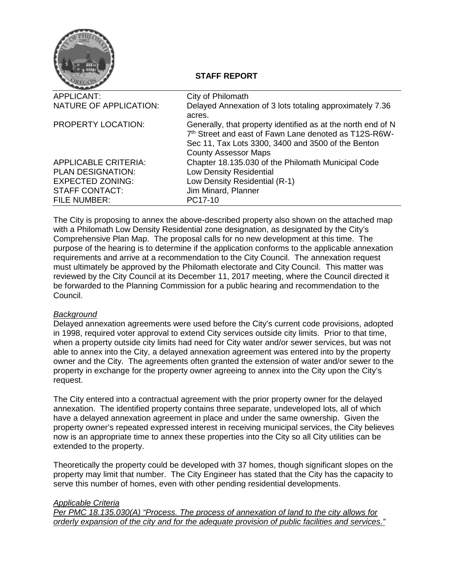

#### **STAFF REPORT**

| APPLICANT:                  | City of Philomath                                            |
|-----------------------------|--------------------------------------------------------------|
| NATURE OF APPLICATION:      | Delayed Annexation of 3 lots totaling approximately 7.36     |
|                             | acres.                                                       |
| <b>PROPERTY LOCATION:</b>   | Generally, that property identified as at the north end of N |
|                             | 7th Street and east of Fawn Lane denoted as T12S-R6W-        |
|                             | Sec 11, Tax Lots 3300, 3400 and 3500 of the Benton           |
|                             | <b>County Assessor Maps</b>                                  |
| <b>APPLICABLE CRITERIA:</b> | Chapter 18.135.030 of the Philomath Municipal Code           |
| <b>PLAN DESIGNATION:</b>    | Low Density Residential                                      |
| <b>EXPECTED ZONING:</b>     | Low Density Residential (R-1)                                |
| <b>STAFF CONTACT:</b>       | Jim Minard, Planner                                          |
| <b>FILE NUMBER:</b>         | PC17-10                                                      |
|                             |                                                              |

The City is proposing to annex the above-described property also shown on the attached map with a Philomath Low Density Residential zone designation, as designated by the City's Comprehensive Plan Map. The proposal calls for no new development at this time. The purpose of the hearing is to determine if the application conforms to the applicable annexation requirements and arrive at a recommendation to the City Council. The annexation request must ultimately be approved by the Philomath electorate and City Council. This matter was reviewed by the City Council at its December 11, 2017 meeting, where the Council directed it be forwarded to the Planning Commission for a public hearing and recommendation to the Council.

#### *Background*

Delayed annexation agreements were used before the City's current code provisions, adopted in 1998, required voter approval to extend City services outside city limits. Prior to that time, when a property outside city limits had need for City water and/or sewer services, but was not able to annex into the City, a delayed annexation agreement was entered into by the property owner and the City. The agreements often granted the extension of water and/or sewer to the property in exchange for the property owner agreeing to annex into the City upon the City's request.

The City entered into a contractual agreement with the prior property owner for the delayed annexation. The identified property contains three separate, undeveloped lots, all of which have a delayed annexation agreement in place and under the same ownership. Given the property owner's repeated expressed interest in receiving municipal services, the City believes now is an appropriate time to annex these properties into the City so all City utilities can be extended to the property.

Theoretically the property could be developed with 37 homes, though significant slopes on the property may limit that number. The City Engineer has stated that the City has the capacity to serve this number of homes, even with other pending residential developments.

#### *Applicable Criteria*

*Per PMC 18.135.030(A) "Process. The process of annexation of land to the city allows for orderly expansion of the city and for the adequate provision of public facilities and services."*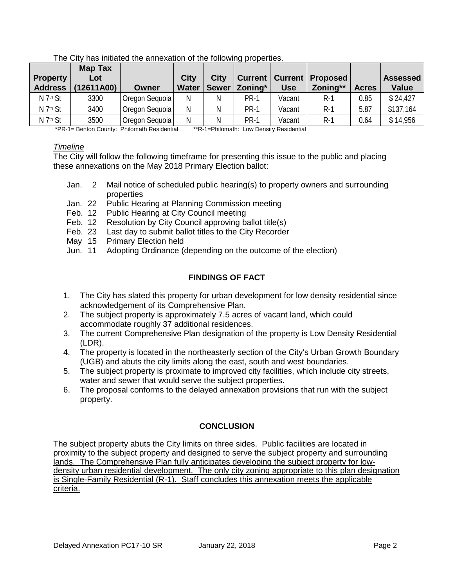|                      | <b>Map Tax</b> |                |              |              |             |            |                                     |              |                 |
|----------------------|----------------|----------------|--------------|--------------|-------------|------------|-------------------------------------|--------------|-----------------|
| <b>Property</b>      | Lot            |                | City         | <b>City</b>  |             |            | <b>Current   Current   Proposed</b> |              | <b>Assessed</b> |
| <b>Address</b>       | (12611A00)     | Owner          | <b>Water</b> | <b>Sewer</b> | Zoning*     | <b>Use</b> | Zoning**                            | <b>Acres</b> | <b>Value</b>    |
| N 7 <sup>th</sup> St | 3300           | Oregon Sequoia | Ν            | N            | <b>PR-1</b> | Vacant     | $R-1$                               | 0.85         | \$24,427        |
| N 7 <sup>th</sup> St | 3400           | Oregon Sequoia | N            | N            | PR-1        | Vacant     | $R-1$                               | 5.87         | \$137,164       |
| N 7 <sup>th</sup> St | 3500           | Oregon Sequoia | N            | Ν            | PR-1        | Vacant     | $R-1$                               | 0.64         | \$14,956        |

The City has initiated the annexation of the following properties.

\*PR-1= Benton County: Philomath Residential \*\*R-1=Philomath: Low Density Residential

#### *Timeline*

The City will follow the following timeframe for presenting this issue to the public and placing these annexations on the May 2018 Primary Election ballot:

- Jan. 2 Mail notice of scheduled public hearing(s) to property owners and surrounding properties
- Jan. 22 Public Hearing at Planning Commission meeting
- Feb. 12 Public Hearing at City Council meeting
- Feb. 12 Resolution by City Council approving ballot title(s)
- Feb. 23 Last day to submit ballot titles to the City Recorder
- May 15 Primary Election held
- Jun. 11 Adopting Ordinance (depending on the outcome of the election)

#### **FINDINGS OF FACT**

- 1. The City has slated this property for urban development for low density residential since acknowledgement of its Comprehensive Plan.
- 2. The subject property is approximately 7.5 acres of vacant land, which could accommodate roughly 37 additional residences.
- 3. The current Comprehensive Plan designation of the property is Low Density Residential (LDR).
- 4. The property is located in the northeasterly section of the City's Urban Growth Boundary (UGB) and abuts the city limits along the east, south and west boundaries.
- 5. The subject property is proximate to improved city facilities, which include city streets, water and sewer that would serve the subject properties.
- 6. The proposal conforms to the delayed annexation provisions that run with the subject property.

#### **CONCLUSION**

The subject property abuts the City limits on three sides. Public facilities are located in proximity to the subject property and designed to serve the subject property and surrounding lands. The Comprehensive Plan fully anticipates developing the subject property for lowdensity urban residential development. The only city zoning appropriate to this plan designation is Single-Family Residential (R-1). Staff concludes this annexation meets the applicable criteria.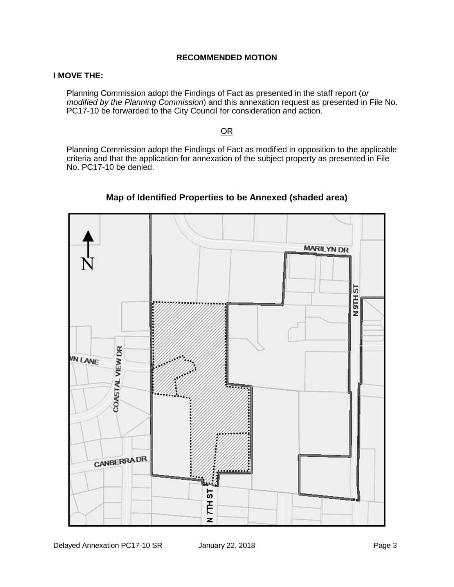#### **RECOMMENDED MOTION**

#### **I MOVE THE:**

Planning Commission adopt the Findings of Fact as presented in the staff report (*or modified by the Planning Commission*) and this annexation request as presented in File No. PC17-10 be forwarded to the City Council for consideration and action.

#### OR

Planning Commission adopt the Findings of Fact as modified in opposition to the applicable criteria and that the application for annexation of the subject property as presented in File No. PC17-10 be denied.



### **Map of Identified Properties to be Annexed (shaded area)**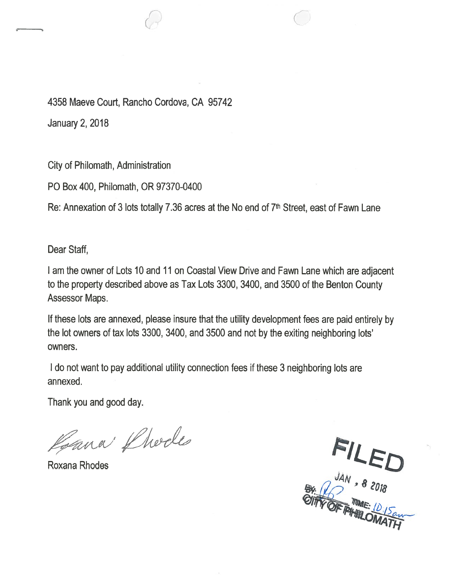4358 Maeve Court, Rancho Cordova, CA 95742

**January 2, 2018** 

**City of Philomath, Administration** 

PO Box 400, Philomath, OR 97370-0400

Re: Annexation of 3 lots totally 7.36 acres at the No end of 7th Street, east of Fawn Lane

Dear Staff.

I am the owner of Lots 10 and 11 on Coastal View Drive and Fawn Lane which are adjacent to the property described above as Tax Lots 3300, 3400, and 3500 of the Benton County Assessor Maps.

If these lots are annexed, please insure that the utility development fees are paid entirely by the lot owners of tax lots 3300, 3400, and 3500 and not by the exiting neighboring lots' owners.

I do not want to pay additional utility connection fees if these 3 neighboring lots are annexed.

Thank you and good day.

Roana Phodes

Roxana Rhodes

FILED<br>JAN , 8 2018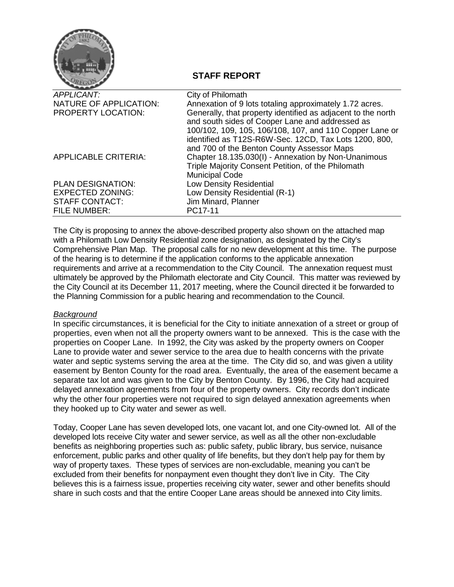

#### **STAFF REPORT**

| <b>APPLICANT:</b>           | City of Philomath                                                                                                                                                                                                                   |
|-----------------------------|-------------------------------------------------------------------------------------------------------------------------------------------------------------------------------------------------------------------------------------|
| NATURE OF APPLICATION:      | Annexation of 9 lots totaling approximately 1.72 acres.                                                                                                                                                                             |
| <b>PROPERTY LOCATION:</b>   | Generally, that property identified as adjacent to the north<br>and south sides of Cooper Lane and addressed as<br>100/102, 109, 105, 106/108, 107, and 110 Copper Lane or<br>identified as T12S-R6W-Sec. 12CD, Tax Lots 1200, 800, |
|                             | and 700 of the Benton County Assessor Maps                                                                                                                                                                                          |
| <b>APPLICABLE CRITERIA:</b> | Chapter 18.135.030(I) - Annexation by Non-Unanimous<br>Triple Majority Consent Petition, of the Philomath<br><b>Municipal Code</b>                                                                                                  |
| <b>PLAN DESIGNATION:</b>    | Low Density Residential                                                                                                                                                                                                             |
| <b>EXPECTED ZONING:</b>     | Low Density Residential (R-1)                                                                                                                                                                                                       |
| <b>STAFF CONTACT:</b>       | Jim Minard, Planner                                                                                                                                                                                                                 |
| <b>FILE NUMBER:</b>         | PC17-11                                                                                                                                                                                                                             |

The City is proposing to annex the above-described property also shown on the attached map with a Philomath Low Density Residential zone designation, as designated by the City's Comprehensive Plan Map. The proposal calls for no new development at this time. The purpose of the hearing is to determine if the application conforms to the applicable annexation requirements and arrive at a recommendation to the City Council. The annexation request must ultimately be approved by the Philomath electorate and City Council. This matter was reviewed by the City Council at its December 11, 2017 meeting, where the Council directed it be forwarded to the Planning Commission for a public hearing and recommendation to the Council.

#### *Background*

In specific circumstances, it is beneficial for the City to initiate annexation of a street or group of properties, even when not all the property owners want to be annexed. This is the case with the properties on Cooper Lane. In 1992, the City was asked by the property owners on Cooper Lane to provide water and sewer service to the area due to health concerns with the private water and septic systems serving the area at the time. The City did so, and was given a utility easement by Benton County for the road area. Eventually, the area of the easement became a separate tax lot and was given to the City by Benton County. By 1996, the City had acquired delayed annexation agreements from four of the property owners. City records don't indicate why the other four properties were not required to sign delayed annexation agreements when they hooked up to City water and sewer as well.

Today, Cooper Lane has seven developed lots, one vacant lot, and one City-owned lot. All of the developed lots receive City water and sewer service, as well as all the other non-excludable benefits as neighboring properties such as: public safety, public library, bus service, nuisance enforcement, public parks and other quality of life benefits, but they don't help pay for them by way of property taxes. These types of services are non-excludable, meaning you can't be excluded from their benefits for nonpayment even thought they don't live in City. The City believes this is a fairness issue, properties receiving city water, sewer and other benefits should share in such costs and that the entire Cooper Lane areas should be annexed into City limits.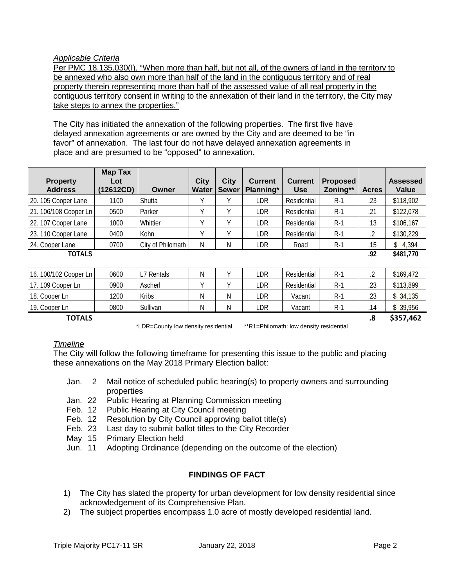#### *Applicable Criteria*

Per PMC 18.135.030(I), "When more than half, but not all, of the owners of land in the territory to be annexed who also own more than half of the land in the contiguous territory and of real property therein representing more than half of the assessed value of all real property in the contiguous territory consent in writing to the annexation of their land in the territory, the City may take steps to annex the properties."

The City has initiated the annexation of the following properties. The first five have delayed annexation agreements or are owned by the City and are deemed to be "in favor" of annexation. The last four do not have delayed annexation agreements in place and are presumed to be "opposed" to annexation.

| <b>Property</b><br><b>Address</b> | <b>Map Tax</b><br>Lot<br>(12612CD) | Owner             | <b>City</b><br>Water | <b>City</b><br><b>Sewer</b> | <b>Current</b><br>Planning* | <b>Current</b><br><b>Use</b> | <b>Proposed</b><br>Zoning** | <b>Acres</b> | <b>Assessed</b><br>Value |
|-----------------------------------|------------------------------------|-------------------|----------------------|-----------------------------|-----------------------------|------------------------------|-----------------------------|--------------|--------------------------|
| 20. 105 Cooper Lane               | 1100                               | Shutta            |                      |                             | LDR                         | Residential                  | $R-1$                       | .23          | \$118,902                |
| 21. 106/108 Cooper Ln             | 0500                               | Parker            |                      |                             | LDR                         | Residential                  | $R-1$                       | .21          | \$122,078                |
| 22. 107 Cooper Lane               | 1000                               | Whittier          |                      |                             | LDR                         | Residential                  | $R-1$                       | .13          | \$106,167                |
| 23.110 Cooper Lane                | 0400                               | Kohn              |                      |                             | LDR                         | Residential                  | $R-1$                       |              | \$130,229                |
| 24. Cooper Lane                   | 0700                               | City of Philomath | N                    | Ν                           | LDR                         | Road                         | $R-1$                       | .15          | \$4,394                  |
| <b>TOTALS</b>                     |                                    |                   |                      |                             |                             |                              |                             | .92          | \$481,770                |

16. 100/102 Cooper Ln 0600 L7 Rentals N Y LDR Residential R-1 .2 \$169,472 17. 109 Cooper Ln 0900 Ascherl Y Y LDR Residential R-1 .23 \$113,899 18. Cooper Ln | 1200 | Kribs | N | N | LDR | Vacant | R-1 | .23 | \$ 34,135 19. Cooper Ln 0800 Sullivan N N LDR Vacant R-1 .14 \$ 39,956 **TOTALS .8 \$357,462**

\*LDR=County low density residential \*\*R1=Philomath: low density residential

#### *Timeline*

The City will follow the following timeframe for presenting this issue to the public and placing these annexations on the May 2018 Primary Election ballot:

- Jan. 2 Mail notice of scheduled public hearing(s) to property owners and surrounding properties
- Jan. 22 Public Hearing at Planning Commission meeting
- Feb. 12 Public Hearing at City Council meeting
- Feb. 12 Resolution by City Council approving ballot title(s)
- Feb. 23 Last day to submit ballot titles to the City Recorder
- May 15 Primary Election held
- Jun. 11 Adopting Ordinance (depending on the outcome of the election)

#### **FINDINGS OF FACT**

- 1) The City has slated the property for urban development for low density residential since acknowledgement of its Comprehensive Plan.
- 2) The subject properties encompass 1.0 acre of mostly developed residential land.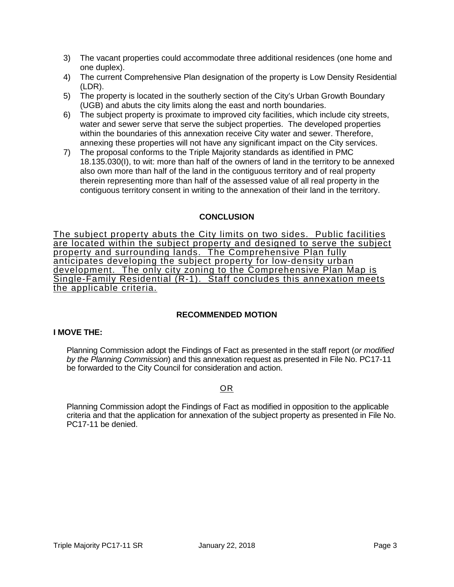- 3) The vacant properties could accommodate three additional residences (one home and one duplex).
- 4) The current Comprehensive Plan designation of the property is Low Density Residential (LDR).
- 5) The property is located in the southerly section of the City's Urban Growth Boundary (UGB) and abuts the city limits along the east and north boundaries.
- 6) The subject property is proximate to improved city facilities, which include city streets, water and sewer serve that serve the subject properties. The developed properties within the boundaries of this annexation receive City water and sewer. Therefore, annexing these properties will not have any significant impact on the City services.
- 7) The proposal conforms to the Triple Majority standards as identified in PMC 18.135.030(I), to wit: more than half of the owners of land in the territory to be annexed also own more than half of the land in the contiguous territory and of real property therein representing more than half of the assessed value of all real property in the contiguous territory consent in writing to the annexation of their land in the territory.

#### **CONCLUSION**

The subject property abuts the City limits on two sides. Public facilities are located within the subject property and designed to serve the subject property and surrounding lands. The Comprehensive Plan fully anticipates developing the subject property for low-density urban development. The only city zoning to the Comprehensive Plan Map is Single-Family Residential (R-1). Staff concludes this annexation meets the applicable criteria.

#### **RECOMMENDED MOTION**

#### **I MOVE THE:**

Planning Commission adopt the Findings of Fact as presented in the staff report (*or modified by the Planning Commission*) and this annexation request as presented in File No. PC17-11 be forwarded to the City Council for consideration and action.

#### OR

Planning Commission adopt the Findings of Fact as modified in opposition to the applicable criteria and that the application for annexation of the subject property as presented in File No. PC17-11 be denied.